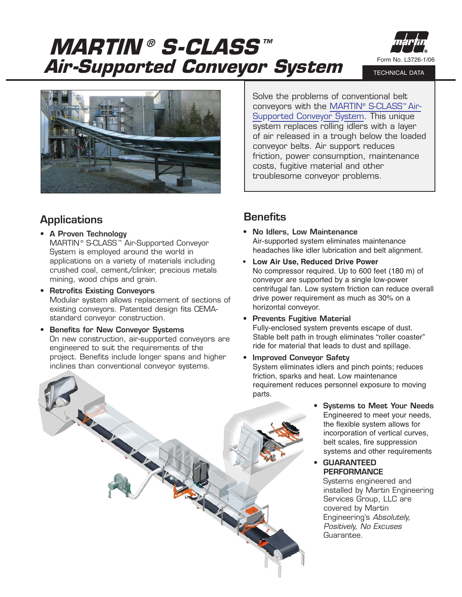**MARTIN® S-CLASS™ Air-Supported Conveyor System**



TECHNICAL DATA



**Applications**

- **A Proven Technology** MARTIN® S-CLASS ™ Air-Supported Conveyor System is employed around the world in applications on a variety of materials including crushed coal, cement/clinker, precious metals mining, wood chips and grain.
- **Retrofits Existing Conveyors** Modular system allows replacement of sections of existing conveyors. Patented design fits CEMAstandard conveyor construction.
- **Benefits for New Conveyor Systems** On new construction, air-supported conveyors are engineered to suit the requirements of the project. Benefits include longer spans and higher inclines than conventional conveyor systems.

## **Benefits**

**• No Idlers, Low Maintenance** Air-supported system eliminates maintenance headaches like idler lubrication and belt alignment.

Solve the problems of conventional belt conveyors with the MARTIN® S-CLASS™ Air-[Supported Conveyor System. This unique](http://martin-eng.com/products.php?product=114) system replaces rolling idlers with a layer of air released in a trough below the loaded

conveyor belts. Air support reduces

costs, fugitive material and other troublesome conveyor problems.

friction, power consumption, maintenance

- **Low Air Use, Reduced Drive Power** No compressor required. Up to 600 feet (180 m) of conveyor are supported by a single low-power centrifugal fan. Low system friction can reduce overall drive power requirement as much as 30% on a horizontal conveyor.
- **Prevents Fugitive Material**

Fully-enclosed system prevents escape of dust. Stable belt path in trough eliminates "roller coaster" ride for material that leads to dust and spillage.

- **Improved Conveyor Safety** System eliminates idlers and pinch points; reduces friction, sparks and heat. Low maintenance requirement reduces personnel exposure to moving parts.
	- **Systems to Meet Your Needs** Engineered to meet your needs, the flexible system allows for incorporation of vertical curves, belt scales, fire suppression systems and other requirements

## **• GUARANTEED PERFORMANCE**

Systems engineered and installed by Martin Engineering Services Group, LLC are covered by Martin Engineering's *Absolutely, Positively, No Excuses* Guarantee.